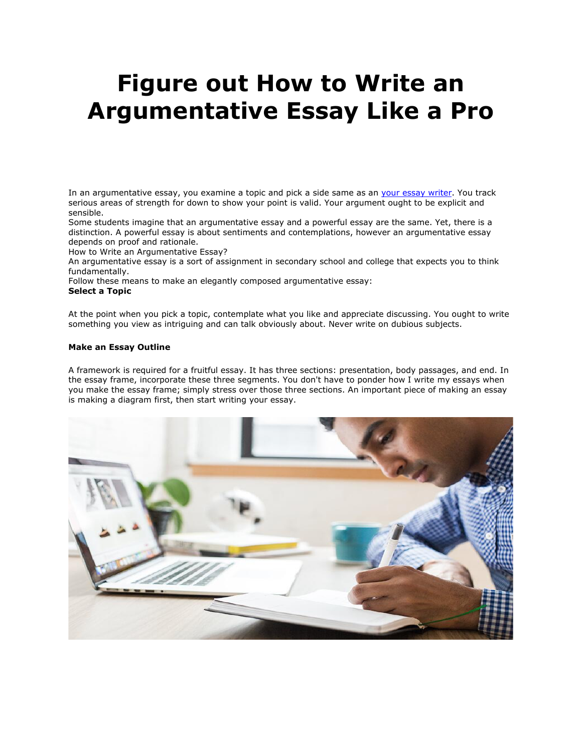# **Figure out How to Write an Argumentative Essay Like a Pro**

In an argumentative essay, you examine a topic and pick a side same as an [your essay writer.](https://youressaywriter.net/) You track serious areas of strength for down to show your point is valid. Your argument ought to be explicit and sensible.

Some students imagine that an argumentative essay and a powerful essay are the same. Yet, there is a distinction. A powerful essay is about sentiments and contemplations, however an argumentative essay depends on proof and rationale.

How to Write an Argumentative Essay?

An argumentative essay is a sort of assignment in secondary school and college that expects you to think fundamentally.

Follow these means to make an elegantly composed argumentative essay:

# **Select a Topic**

At the point when you pick a topic, contemplate what you like and appreciate discussing. You ought to write something you view as intriguing and can talk obviously about. Never write on dubious subjects.

# **Make an Essay Outline**

A framework is required for a fruitful essay. It has three sections: presentation, body passages, and end. In the essay frame, incorporate these three segments. You don't have to ponder how I write my essays when you make the essay frame; simply stress over those three sections. An important piece of making an essay is making a diagram first, then start writing your essay.